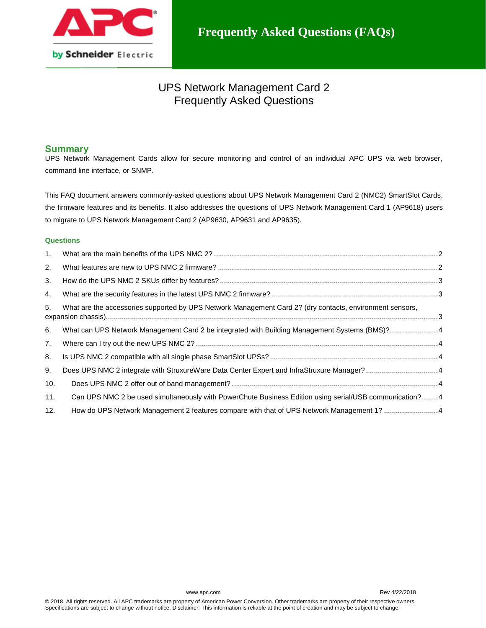

# UPS Network Management Card 2 Frequently Asked Questions

# **Summary**

UPS Network Management Cards allow for secure monitoring and control of an individual APC UPS via web browser, command line interface, or SNMP.

This FAQ document answers commonly-asked questions about UPS Network Management Card 2 (NMC2) SmartSlot Cards, the firmware features and its benefits. It also addresses the questions of UPS Network Management Card 1 (AP9618) users to migrate to UPS Network Management Card 2 (AP9630, AP9631 and AP9635).

## **Questions**

| 1.  |                                                                                                          |  |
|-----|----------------------------------------------------------------------------------------------------------|--|
| 2.  |                                                                                                          |  |
| 3.  |                                                                                                          |  |
| 4.  |                                                                                                          |  |
| 5.  | What are the accessories supported by UPS Network Management Card 2? (dry contacts, environment sensors, |  |
| 6.  | What can UPS Network Management Card 2 be integrated with Building Management Systems (BMS)?4            |  |
| 7.  |                                                                                                          |  |
| 8.  |                                                                                                          |  |
| 9.  | Does UPS NMC 2 integrate with StruxureWare Data Center Expert and InfraStruxure Manager? 4               |  |
| 10. |                                                                                                          |  |
| 11. | Can UPS NMC 2 be used simultaneously with PowerChute Business Edition using serial/USB communication?4   |  |
| 12. | How do UPS Network Management 2 features compare with that of UPS Network Management 1? 4                |  |

www.apc.com Rev 4/22/2018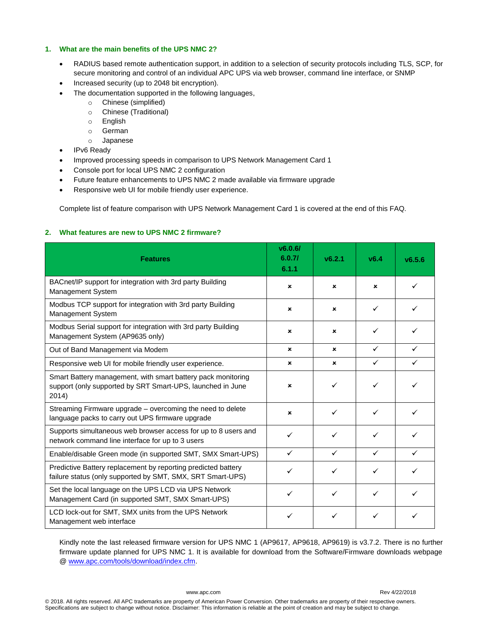## <span id="page-1-0"></span>**1. What are the main benefits of the UPS NMC 2?**

- RADIUS based remote authentication support, in addition to a selection of security protocols including TLS, SCP, for secure monitoring and control of an individual APC UPS via web browser, command line interface, or SNMP
- Increased security (up to 2048 bit encryption).
- The documentation supported in the following languages,
	- o Chinese (simplified)
	- o Chinese (Traditional)
	- o English
	- o German
	- o Japanese
- IPv6 Ready
- Improved processing speeds in comparison to UPS Network Management Card 1
- Console port for local UPS NMC 2 configuration
- Future feature enhancements to UPS NMC 2 made available via firmware upgrade
- Responsive web UI for mobile friendly user experience.

Complete list of feature comparison with UPS Network Management Card 1 is covered at the end of this FAQ.

## <span id="page-1-1"></span>**2. What features are new to UPS NMC 2 firmware?**

| <b>Features</b>                                                                                                                     | v6.0.6/<br>6.0.7/<br>6.1.1 | V6.2.1      | V6.4         | v6.5.6 |
|-------------------------------------------------------------------------------------------------------------------------------------|----------------------------|-------------|--------------|--------|
| BACnet/IP support for integration with 3rd party Building<br>Management System                                                      | $\mathbf x$                | $\mathbf x$ | $\mathbf x$  |        |
| Modbus TCP support for integration with 3rd party Building<br>Management System                                                     | ×                          | ×           | ✓            |        |
| Modbus Serial support for integration with 3rd party Building<br>Management System (AP9635 only)                                    | ×                          | ×           | $\checkmark$ |        |
| Out of Band Management via Modem                                                                                                    | ×                          | $\mathbf x$ | $\checkmark$ | ✓      |
| Responsive web UI for mobile friendly user experience.                                                                              | ×                          | $\mathbf x$ | $\checkmark$ | ✓      |
| Smart Battery management, with smart battery pack monitoring<br>support (only supported by SRT Smart-UPS, launched in June<br>2014) | ×                          | ✓           | $\checkmark$ |        |
| Streaming Firmware upgrade - overcoming the need to delete<br>language packs to carry out UPS firmware upgrade                      | ×                          | ✓           | $\checkmark$ | ✓      |
| Supports simultaneous web browser access for up to 8 users and<br>network command line interface for up to 3 users                  | ✓                          | ✓           | ✓            | ✓      |
| Enable/disable Green mode (in supported SMT, SMX Smart-UPS)                                                                         | ✓                          | ✓           | $\checkmark$ | ✓      |
| Predictive Battery replacement by reporting predicted battery<br>failure status (only supported by SMT, SMX, SRT Smart-UPS)         | ✓                          |             | ✓            |        |
| Set the local language on the UPS LCD via UPS Network<br>Management Card (in supported SMT, SMX Smart-UPS)                          | ✓                          | ✓           | ✓            |        |
| LCD lock-out for SMT, SMX units from the UPS Network<br>Management web interface                                                    |                            |             |              |        |

Kindly note the last released firmware version for UPS NMC 1 (AP9617, AP9618, AP9619) is v3.7.2. There is no further firmware update planned for UPS NMC 1. It is available for download from the Software/Firmware downloads webpage [@ www.apc.com/tools/download/index.cfm.](http://www.apc.com/tools/download/index.cfm)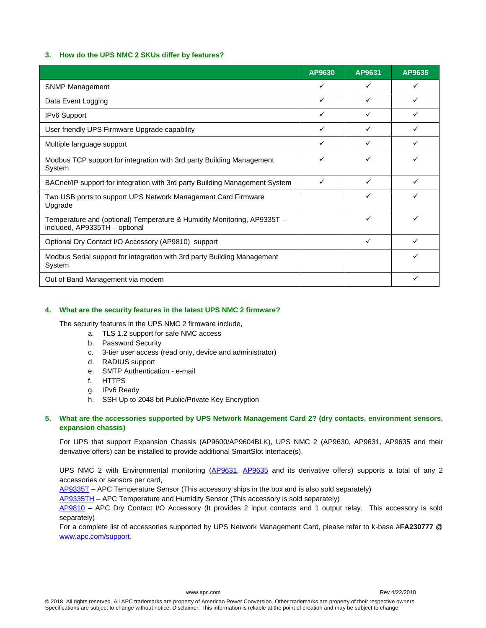## <span id="page-2-0"></span>**3. How do the UPS NMC 2 SKUs differ by features?**

|                                                                                                          | AP9630       | AP9631 | AP9635 |
|----------------------------------------------------------------------------------------------------------|--------------|--------|--------|
| <b>SNMP Management</b>                                                                                   | ✓            |        |        |
| Data Event Logging                                                                                       | ✓            | ✓      | ✓      |
| IPv6 Support                                                                                             | $\checkmark$ | ✓      | ✓      |
| User friendly UPS Firmware Upgrade capability                                                            | ✓            |        |        |
| Multiple language support                                                                                | ✓            | ✓      | ✓      |
| Modbus TCP support for integration with 3rd party Building Management<br>System                          | ✓            | ✓      |        |
| BACnet/IP support for integration with 3rd party Building Management System                              | $\checkmark$ | ✓      | ✓      |
| Two USB ports to support UPS Network Management Card Firmware<br>Upgrade                                 |              | ✓      | ✓      |
| Temperature and (optional) Temperature & Humidity Monitoring, AP9335T -<br>included, AP9335TH - optional |              | ✓      | ✓      |
| Optional Dry Contact I/O Accessory (AP9810) support                                                      |              | ✓      | ✓      |
| Modbus Serial support for integration with 3rd party Building Management<br>System                       |              |        | ✓      |
| Out of Band Management via modem                                                                         |              |        | ✓      |

## <span id="page-2-1"></span>**4. What are the security features in the latest UPS NMC 2 firmware?**

The security features in the UPS NMC 2 firmware include,

- a. TLS 1.2 support for safe NMC access
- b. Password Security
- c. 3-tier user access (read only, device and administrator)
- d. RADIUS support
- e. SMTP Authentication e-mail
- f. HTTPS
- g. IPv6 Ready
- h. SSH Up to 2048 bit Public/Private Key Encryption

## <span id="page-2-2"></span>**5. What are the accessories supported by UPS Network Management Card 2? (dry contacts, environment sensors, expansion chassis)**

For UPS that support Expansion Chassis (AP9600/AP9604BLK), UPS NMC 2 (AP9630, AP9631, AP9635 and their derivative offers) can be installed to provide additional SmartSlot interface(s).

UPS NMC 2 with Environmental monitoring [\(AP9631,](http://www.apc.com/products/resource/include/techspec_index.cfm?base_sku=AP9631) [AP9635](http://www.apc.com/products/resource/include/techspec_index.cfm?base_sku=AP9635) and its derivative offers) supports a total of any 2 accessories or sensors per card,

[AP9335T](http://www.apc.com/products/resource/include/techspec_index.cfm?base_sku=AP9335T) – APC Temperature Sensor (This accessory ships in the box and is also sold separately)

[AP9335TH](http://www.apc.com/products/resource/include/techspec_index.cfm?base_sku=AP9335TH) – APC Temperature and Humidity Sensor (This accessory is sold separately)

[AP9810](http://www.apc.com/products/resource/include/techspec_index.cfm?base_sku=AP9810) – APC Dry Contact I/O Accessory (It provides 2 input contacts and 1 output relay. This accessory is sold separately)

<span id="page-2-3"></span>For a complete list of accessories supported by UPS Network Management Card, please refer to k-base #**FA230777** @ [www.apc.com/support.](http://www.apc.com/support)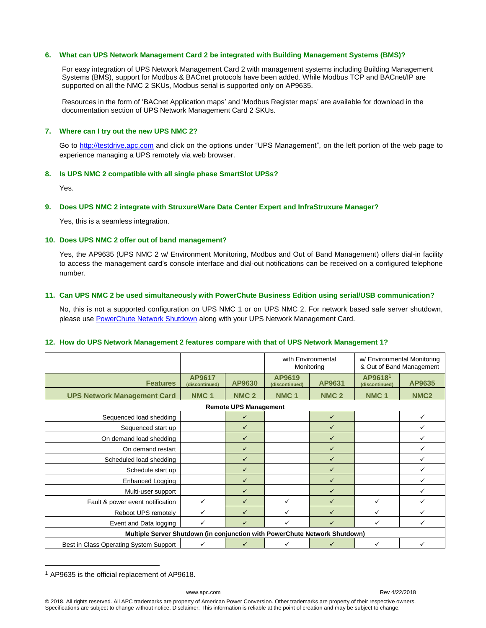#### **6. What can UPS Network Management Card 2 be integrated with Building Management Systems (BMS)?**

For easy integration of UPS Network Management Card 2 with management systems including Building Management Systems (BMS), support for Modbus & BACnet protocols have been added. While Modbus TCP and BACnet/IP are supported on all the NMC 2 SKUs, Modbus serial is supported only on AP9635.

Resources in the form of 'BACnet Application maps' and 'Modbus Register maps' are available for download in the documentation section of UPS Network Management Card 2 SKUs.

## <span id="page-3-0"></span>**7. Where can I try out the new UPS NMC 2?**

Go to [http://testdrive.apc.com](http://testdrive.apc.com/) and click on the options under "UPS Management", on the left portion of the web page to experience managing a UPS remotely via web browser.

## <span id="page-3-1"></span>**8. Is UPS NMC 2 compatible with all single phase SmartSlot UPSs?**

Yes.

#### <span id="page-3-2"></span>**9. Does UPS NMC 2 integrate with StruxureWare Data Center Expert and InfraStruxure Manager?**

Yes, this is a seamless integration.

#### <span id="page-3-3"></span>**10. Does UPS NMC 2 offer out of band management?**

Yes, the AP9635 (UPS NMC 2 w/ Environment Monitoring, Modbus and Out of Band Management) offers dial-in facility to access the management card's console interface and dial-out notifications can be received on a configured telephone number.

#### <span id="page-3-4"></span>**11. Can UPS NMC 2 be used simultaneously with PowerChute Business Edition using serial/USB communication?**

No, this is not a supported configuration on UPS NMC 1 or on UPS NMC 2. For network based safe server shutdown, please use [PowerChute Network Shutdown](http://www.apc.com/products/family/index.cfm?id=127) along with your UPS Network Management Card.

#### <span id="page-3-5"></span>**12. How do UPS Network Management 2 features compare with that of UPS Network Management 1?**

|                                                                            |                          |                  | with Environmental<br>Monitoring |                  | w/ Environmental Monitoring<br>& Out of Band Management |                  |  |  |
|----------------------------------------------------------------------------|--------------------------|------------------|----------------------------------|------------------|---------------------------------------------------------|------------------|--|--|
| <b>Features</b>                                                            | AP9617<br>(discontinued) | AP9630           | AP9619<br>(discontinued)         | AP9631           | AP96181<br>(discontinued)                               | AP9635           |  |  |
| <b>UPS Network Management Card</b>                                         | NMC <sub>1</sub>         | NMC <sub>2</sub> | NMC <sub>1</sub>                 | NMC <sub>2</sub> | NMC <sub>1</sub>                                        | NMC <sub>2</sub> |  |  |
| <b>Remote UPS Management</b>                                               |                          |                  |                                  |                  |                                                         |                  |  |  |
| Sequenced load shedding                                                    |                          | ✓                |                                  | $\checkmark$     |                                                         | ✓                |  |  |
| Sequenced start up                                                         |                          | $\checkmark$     |                                  | ✓                |                                                         | $\checkmark$     |  |  |
| On demand load shedding                                                    |                          | $\checkmark$     |                                  | ✓                |                                                         | $\checkmark$     |  |  |
| On demand restart                                                          |                          | ✓                |                                  | $\checkmark$     |                                                         | ✓                |  |  |
| Scheduled load shedding                                                    |                          | $\checkmark$     |                                  | $\checkmark$     |                                                         | $\checkmark$     |  |  |
| Schedule start up                                                          |                          | $\checkmark$     |                                  | $\checkmark$     |                                                         | $\checkmark$     |  |  |
| Enhanced Logging                                                           |                          | $\checkmark$     |                                  | $\checkmark$     |                                                         | ✓                |  |  |
| Multi-user support                                                         |                          | $\checkmark$     |                                  | $\checkmark$     |                                                         | ✓                |  |  |
| Fault & power event notification                                           | $\checkmark$             | $\checkmark$     | ✓                                | $\checkmark$     | ✓                                                       | $\checkmark$     |  |  |
| Reboot UPS remotely                                                        | $\checkmark$             | $\checkmark$     | ✓                                | $\checkmark$     | ✓                                                       | ✓                |  |  |
| Event and Data logging                                                     | ✓                        | $\checkmark$     | ✓                                | ✓                | ✓                                                       | ✓                |  |  |
| Multiple Server Shutdown (in conjunction with PowerChute Network Shutdown) |                          |                  |                                  |                  |                                                         |                  |  |  |
| Best in Class Operating System Support                                     | ✓                        | $\checkmark$     | ✓                                | $\checkmark$     | ✓                                                       | ✓                |  |  |

<sup>1</sup> AP9635 is the official replacement of AP9618.

 $\overline{a}$